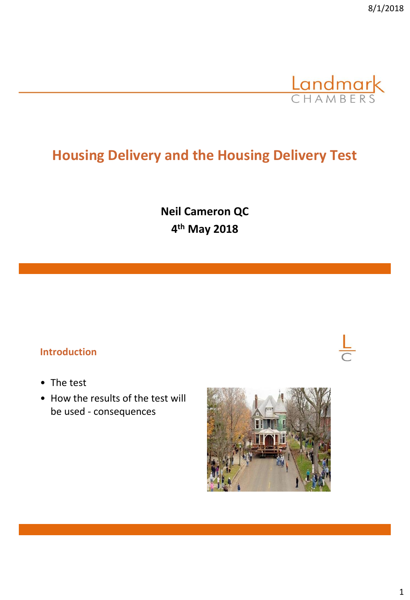

# **Housing Delivery and the Housing Delivery Test**

**Neil Cameron QC 4 th May 2018**

## **Introduction**

- The test
- How the results of the test will be used - consequences

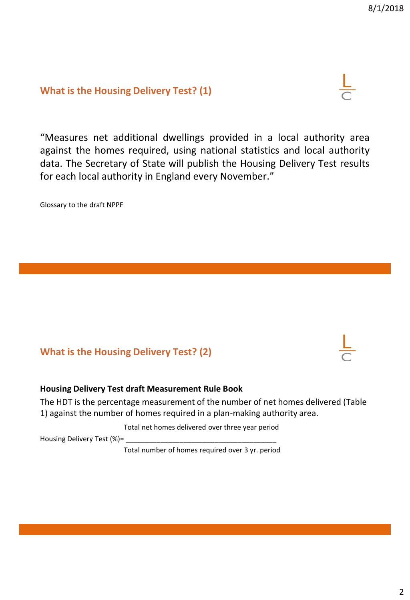#### **What is the Housing Delivery Test? (1)**

"Measures net additional dwellings provided in a local authority area against the homes required, using national statistics and local authority data. The Secretary of State will publish the Housing Delivery Test results for each local authority in England every November."

Glossary to the draft NPPF

# **What is the Housing Delivery Test? (2)**

#### **Housing Delivery Test draft Measurement Rule Book**

The HDT is the percentage measurement of the number of net homes delivered (Table 1) against the number of homes required in a plan-making authority area.

Total net homes delivered over three year period

Housing Delivery Test (%)=

Total number of homes required over 3 yr. period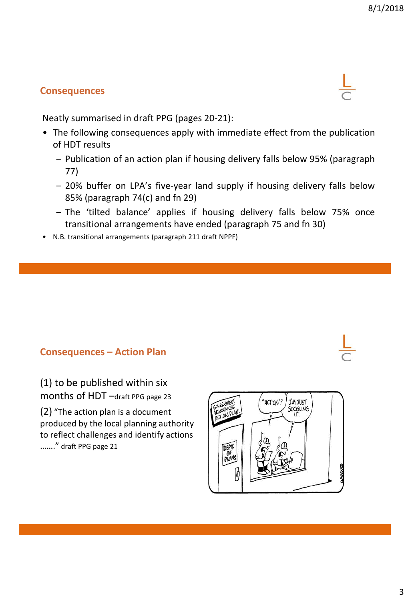# **Consequences**

Neatly summarised in draft PPG (pages 20-21):

- The following consequences apply with immediate effect from the publication of HDT results
	- Publication of an action plan if housing delivery falls below 95% (paragraph 77)
	- 20% buffer on LPA's five-year land supply if housing delivery falls below 85% (paragraph 74(c) and fn 29)
	- The 'tilted balance' applies if housing delivery falls below 75% once transitional arrangements have ended (paragraph 75 and fn 30)
- N.B. transitional arrangements (paragraph 211 draft NPPF)

## **Consequences – Action Plan**

(1) to be published within six months of HDT –draft PPG page 23

(2) "The action plan is a document produced by the local planning authority to reflect challenges and identify actions ……." draft PPG page 21



3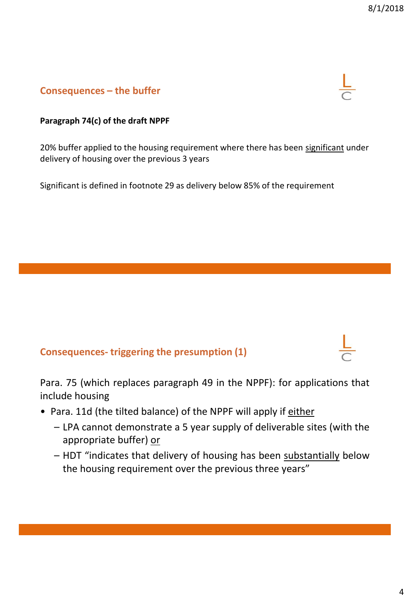# **Consequences – the buffer**

#### **Paragraph 74(c) of the draft NPPF**

20% buffer applied to the housing requirement where there has been significant under delivery of housing over the previous 3 years

Significant is defined in footnote 29 as delivery below 85% of the requirement

## **Consequences- triggering the presumption (1)**

Para. 75 (which replaces paragraph 49 in the NPPF): for applications that include housing

- Para. 11d (the tilted balance) of the NPPF will apply if either
	- LPA cannot demonstrate a 5 year supply of deliverable sites (with the appropriate buffer) or
	- HDT "indicates that delivery of housing has been substantially below the housing requirement over the previous three years"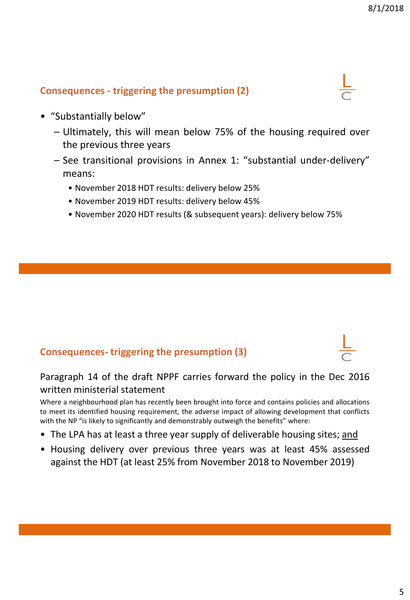# **Consequences - triggering the presumption (2)**



- "Substantially below"
	- Ultimately, this will mean below 75% of the housing required over the previous three years
	- See transitional provisions in Annex 1: "substantial under-delivery" means:
		- November 2018 HDT results: delivery below 25%
		- November 2019 HDT results: delivery below 45%
		- November 2020 HDT results (& subsequent years): delivery below 75%

# **Consequences- triggering the presumption (3)**

Paragraph 14 of the draft NPPF carries forward the policy in the Dec 2016 written ministerial statement

Where a neighbourhood plan has recently been brought into force and contains policies and allocations to meet its identified housing requirement, the adverse impact of allowing development that conflicts with the NP "is likely to significantly and demonstrably outweigh the benefits" where:

- The LPA has at least a three year supply of deliverable housing sites; and
- Housing delivery over previous three years was at least 45% assessed against the HDT (at least 25% from November 2018 to November 2019)